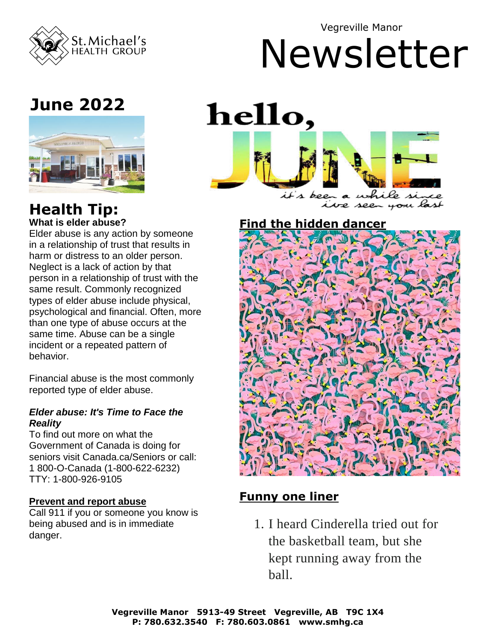

Vegreville Manor

# Newsletter

# **June 2022**



#### **Health Tip: What is elder abuse?**

Elder abuse is any action by someone in a relationship of trust that results in harm or distress to an older person. Neglect is a lack of action by that person in a relationship of trust with the same result. Commonly recognized types of elder abuse include physical, psychological and financial. Often, more than one type of abuse occurs at the same time. Abuse can be a single incident or a repeated pattern of behavior.

Financial abuse is the most commonly reported type of elder abuse.

#### *Elder abuse: It's Time to Face the Reality*

To find out more on what the Government of Canada is doing for seniors visit Canada.ca/Seniors or call: 1 800-O-Canada (1-800-622-6232) TTY: 1-800-926-9105

#### **Prevent and report abuse**

Call 911 if you or someone you know is being abused and is in immediate danger.



#### **Find the hidden dancer**



#### **Funny one liner**

1. I heard Cinderella tried out for the basketball team, but she kept running away from the ball.